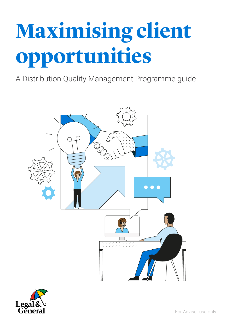# **Maximising client opportunities**

A Distribution Quality Management Programme guide